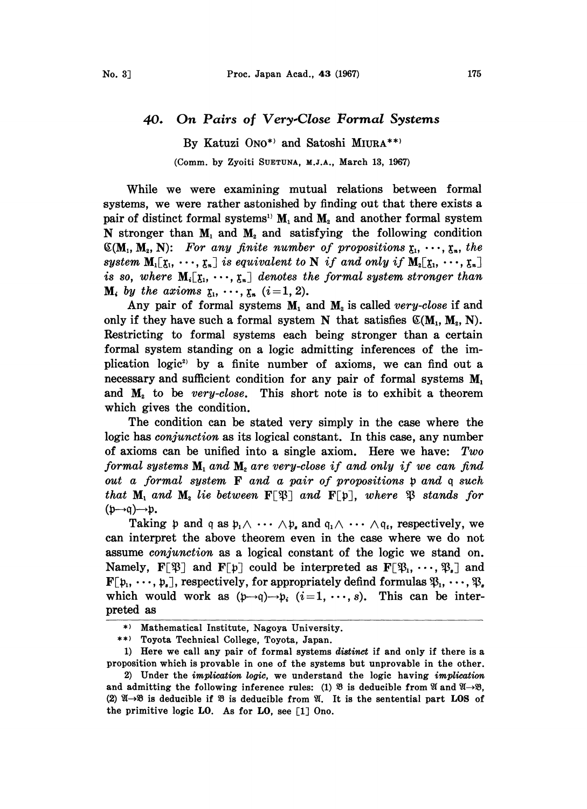## On Pairs of Very.Close Formal Systems 40.

By Katuzi ONO\*) and Satoshi MIURA\*\*) (Comm. by Zyoiti SUETUNA, M.J.A., March 13, 1967)

While we were examining mutual relations between formal systems, we were rather astonished by finding out that there exists a pair of distinct formal systems<sup>1</sup><sup>3</sup> $M_1$  and  $M_2$  and another formal system N stronger than  $M_1$  and  $M_2$  and satisfying the following condition  $({\mathfrak{C}}(M_1, M_2, N):$  For any finite number of propositions  ${\mathfrak{x}}_1, \cdots, {\mathfrak{x}}_n$ , the system  $M_1[\zeta_1, \dots, \zeta_n]$  is equivalent to N if and only if  $M_2[\zeta_1, \dots, \zeta_n]$ is so, where  $M_i[\xi_1, \dots, \xi_n]$  denotes the formal system stronger than  $M_i$  by the axioms  $\zeta_1, \cdots, \zeta_n$   $(i=1, 2)$ .

Any pair of formal systems  $M_1$  and  $M_2$  is called very-close if and only if they have such a formal system N that satisfies  $\mathfrak{C}(\mathbf{M}_1, \mathbf{M}_2, \mathbf{N}).$ Restricting to formal systems each being stronger than a certain formal system standing on a logic admitting inferences of the implication logic<sup>2</sup> by a finite number of axioms, we can find out a necessary and sufficient condition for any pair of formal systems  $M_1$ and  $M<sub>2</sub>$  to be very-close. This short note is to exhibit a theorem which gives the condition.

The condition can be stated very simply in the case where the logic has *conjunction* as its logical constant. In this case, any number of axioms can be unified into a single axiom. Here we have:  $Two$ formal systems  $M_1$  and  $M_2$  are very-close if and only if we can find  $\emph{out}$  a formal system  ${\bf F}$  and a pair of propositions  ${\frak p}$  and  ${\frak q}$  such format systems  $\mathbf{M}_1$  and  $\mathbf{M}_2$  are very-close if and only if we can find<br>out a formal system **F** and a pair of propositions p and q such<br>that  $\mathbf{M}_1$  and  $\mathbf{M}_2$  lie between  $\mathbf{F}[\mathfrak{P}]$  and  $\mathbf{F}[\mathfrak{p}]$  $(p\rightarrow q)\rightarrow p$ .

Taking p and q as  $p_1 \wedge \cdots \wedge p_s$  and  $q_1 \wedge \cdots \wedge q_t$ , respectively, we can interpret the above theorem even in the case where we do not assume conjunction as a logical constant of the logic we stand on. Namely,  $\mathbf{F}[\mathfrak{B}]$  and  $\mathbf{F}[\mathfrak{p}]$  could be interpreted as  $\mathbf{F}[\mathfrak{B}_1,\cdots,\mathfrak{B}_s]$  and  $\mathbf{F}[\mathfrak{p}_1, \dots, \mathfrak{p}_s]$ , respectively, for appropriately defind formulas  $\mathfrak{P}_1, \dots, \mathfrak{P}_s$ which would work as  $(p \rightarrow q) \rightarrow p_i$   $(i=1, \dots, s)$ . This can be interpreted as

<sup>\*)</sup> Mathematical Institute, Nagoya University.

<sup>\*\*)</sup> Toyota Technical College, Toyota, Japan.

<sup>1)</sup> Here we call any pair of formal systems distinct if and only if there is a proposition which is provable in one of the systems but unprovable in the other.

<sup>2)</sup> Under the implication logic, we understand the logic having implication and admitting the following inference rules: (1)  $\mathfrak{B}$  is deducible from  $\mathfrak{A}$  and  $\mathfrak{A}\rightarrow\mathfrak{B}$ , (2)  $\mathfrak{A} \rightarrow \mathfrak{B}$  is deducible if  $\mathfrak{B}$  is deducible from  $\mathfrak{A}$ . It is the sentential part LOS of the primitive logic LO. As for LO, see [1] Ono.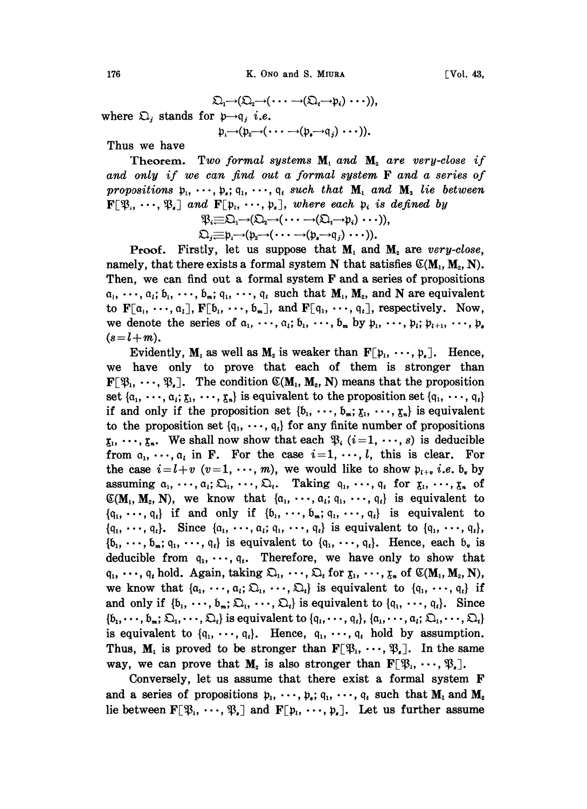K. Ono and S. MIURA

 $\mathfrak{Q}_1 \rightarrow (\mathfrak{Q}_2 \rightarrow (\cdots \rightarrow (\mathfrak{Q}_t \rightarrow \mathfrak{p}_i) \cdots)),$ where  $\mathfrak{Q}_i$  stands for  $\mathfrak{p}\rightarrow\mathfrak{q}_i$  *i.e.*  $\mathfrak{p}_i \rightarrow (\mathfrak{p}_i \rightarrow (\cdots \rightarrow (\mathfrak{p}_s \rightarrow q_i) \cdots)).$ 

Thus we have

Theorem. Two formal systems  $M_1$  and  $M_2$  are very-close if and only if we can find out a formal system F and a series of propositions  $p_1, \dots, p_s; q_1, \dots, q_t$  such that  $M_1$  and  $M_2$  lie between  $\mathbf{F}[\mathfrak{B}_{\mu}, \cdots, \mathfrak{B}_{\varepsilon}]$  and  $\mathbf{F}[\mathfrak{p}_{\mu}, \cdots, \mathfrak{p}_{\varepsilon}]$ , where each  $\mathfrak{p}_{i}$  is defined by

 $\mathfrak{P}_i \equiv \mathfrak{D}_1 \rightarrow (\mathfrak{D}_2 \rightarrow (\cdots \rightarrow (\mathfrak{D}_i \rightarrow p_i) \cdots)),$ <br> $\mathfrak{D}_i \equiv \mathfrak{p}_i \rightarrow (\mathfrak{p}_2 \rightarrow (\cdots \rightarrow (\mathfrak{p}_i \rightarrow q_i) \cdots)).$ 

$$
\lambda_{j} = \rho_{1} \rightarrow (\rho_{2} \rightarrow (\cdots \rightarrow (\rho_{s} \rightarrow q_{j}) \cdots)).
$$
  
irstlv. let us suppose that M, and M.

 $\mathbf F$ Proof.  $\epsilon$ , are very-close. namely, that there exists a formal system N that satisfies  $\mathfrak{C}(M_1, M_2, N)$ . Then, we can find out a formal system F and a series of propositions  $a_1, \dots, a_i; b_1, \dots, b_m; q_1, \dots, q_t$  such that  $M_1, M_2$ , and N are equivalent to  $\mathbf{F}[\mathfrak{a}_1, \dots, \mathfrak{a}_l], \mathbf{F}[\mathfrak{b}_1, \dots, \mathfrak{b}_m],$  and  $\mathbf{F}[\mathfrak{q}_1, \dots, \mathfrak{q}_l],$  respectively. Now, we denote the series of  $a_1, \dots, a_i; b_1, \dots, b_m$  by  $p_1, \dots, p_i; p_{i+1}, \dots, p_s$  $(s=l+m).$ 

Evidently, M, as well as M<sub>2</sub> is weaker than  $F[p_1, \dots, p_n]$ . Hence, we have only to prove that each of them is stronger than  $\mathbf{F}[\mathcal{B}_1, \dots, \mathcal{B}_s]$ . The condition  $\mathfrak{C}(\mathbf{M}_1, \mathbf{M}_2, \mathbf{N})$  means that the proposition set  $\{a_1, \dots, a_i; \xi_1, \dots, \xi_n\}$  is equivalent to the proposition set  $\{q_1, \dots, q_t\}$ if and only if the proposition set  $\{\mathfrak{b}_1, \dots, \mathfrak{b}_m; \mathfrak{x}_1, \dots, \mathfrak{x}_n\}$  is equivalent to the proposition set  $\{q_1, \dots, q_t\}$  for any finite number of propositions  $\mathfrak{x}_1, \dots, \mathfrak{x}_n$ . We shall now show that each  $\mathfrak{P}_i$  (i=1,  $\dots$ , s) is deducible from  $a_1, \dots, a_i$  in F. For the case  $i=1, \dots, l$ , this is clear. For the case  $i = l+v$   $(v=1, \dots, m)$ , we would like to show  $p_{l+v}$  *i.e.* b, by assuming  $a_1, \dots, a_i; \Omega_1, \dots, \Omega_t$ . Taking  $q_1, \dots, q_t$  for  $\zeta_1, \dots, \zeta_n$  of  $\mathfrak{C}(\mathbf{M}_1, \mathbf{M}_2, \mathbf{N})$ , we know that  $\{a_1, \dots, a_i; q_1, \dots, q_i\}$  is equivalent to  $\{\mathfrak{q}_1, \dots, \mathfrak{q}_i\}$  if and only if  $\{\mathfrak{b}_1, \dots, \mathfrak{b}_m; \mathfrak{q}_1, \dots, \mathfrak{q}_i\}$  is equivalent to  $\{q_1, \dots, q_t\}$ . Since  $\{a_1, \dots, a_t; q_1, \dots, q_t\}$  is equivalent to  $\{q_1, \dots, q_t\}$ ,  $\{\mathfrak{b}_1, \dots, \mathfrak{b}_m; \mathfrak{q}_1, \dots, \mathfrak{q}_t\}$  is equivalent to  $\{\mathfrak{q}_1, \dots, \mathfrak{q}_t\}$ . Hence, each  $\mathfrak{b}_v$  is deducible from  $q_1, \dots, q_t$ . Therefore, we have only to show that  $q_1, \dots, q_t$  hold. Again, taking  $\mathfrak{Q}_1, \dots, \mathfrak{Q}_t$  for  $\mathfrak{x}_1, \dots, \mathfrak{x}_t$  of  $\mathfrak{C}(M_1, M_2, N)$ , we know that  $\{a_1, \dots, a_i; \sum_1, \dots, \sum_i\}$  is equivalent to  $\{q_1, \dots, q_i\}$  if and only if  $\{b_1, \dots, b_m; \Omega_1, \dots, \Omega_t\}$  is equivalent to  $\{q_1, \dots, q_t\}$ . Since  $\{\mathfrak{b}_1,\dots,\mathfrak{b}_m;\mathfrak{D}_1,\dots,\mathfrak{D}_t\}$  is equivalent to  $\{\mathfrak{q}_1,\dots,\mathfrak{q}_t\}$ ,  $\{\mathfrak{a}_1,\dots,\mathfrak{a}_i;\mathfrak{D}_1,\dots,\mathfrak{D}_t\}$ is equivalent to  $\{q_1, \dots, q_t\}$ . Hence,  $q_1, \dots, q_t$  hold by assumption. Thus,  $M_1$  is proved to be stronger than  $F[\mathfrak{B}_1, \cdots, \mathfrak{B}_s]$ . In the same way, we can prove that  $M_2$  is also stronger than  $F[\mathfrak{B}_1, \cdots, \mathfrak{B}_s].$ 

Conversely, let us assume that there exist a formal system F and a series of propositions  $p_1, \dots, p_s$ ;  $q_1, \dots, q_t$  such that  $M_1$  and  $M_2$ lie between  $\mathbf{F}[\mathfrak{B}_1,\cdots,\mathfrak{B}_s]$  and  $\mathbf{F}[\mathfrak{p}_1,\cdots,\mathfrak{p}_s]$ . Let us further assume